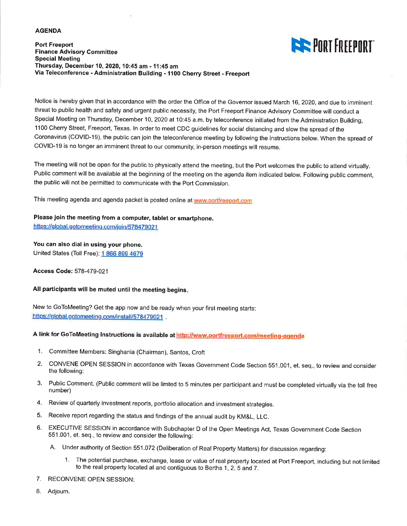#### **AGENDA**

**Port Freeport Finance Advisory Committee Special Meeting** Thursday, December 10, 2020, 10:45 am - 11:45 am Via Teleconference - Administration Building - 1100 Cherry Street - Freeport



Notice is hereby given that in accordance with the order the Office of the Governor issued March 16, 2020, and due to imminent threat to public health and safety and urgent public necessity, the Port Freeport Finance Advisory Committee will conduct a Special Meeting on Thursday, December 10, 2020 at 10:45 a.m. by teleconference initiated from the Administration Building, 1100 Cherry Street, Freeport, Texas. In order to meet CDC guidelines for social distancing and slow the spread of the Coronavirus (COVID-19), the public can join the teleconference meeting by following the instructions below. When the spread of COVID-19 is no longer an imminent threat to our community, in-person meetings will resume.

The meeting will not be open for the public to physically attend the meeting, but the Port welcomes the public to attend virtually. Public comment will be available at the beginning of the meeting on the agenda item indicated below. Following public comment, the public will not be permitted to communicate with the Port Commission.

This meeting agenda and agenda packet is posted online at www.portfreeport.com

### Please join the meeting from a computer, tablet or smartphone.

https://global.gotomeeting.com/join/578479021

### You can also dial in using your phone.

United States (Toll Free): 1 866 899 4679

Access Code: 578-479-021

### All participants will be muted until the meeting begins.

New to GoToMeeting? Get the app now and be ready when your first meeting starts: https://global.gotomeeting.com/install/578479021 .

### A link for GoToMeeting Instructions is available at http://www.portfreeport.com/meeting-agenda

- 1. Committee Members: Singhania (Chairman), Santos, Croft
- 2. CONVENE OPEN SESSION in accordance with Texas Government Code Section 551.001, et. seq., to review and consider the following:
- 3. Public Comment. (Public comment will be limted to 5 minutes per participant and must be completed virtually via the toll free number)
- 4. Review of quarterly investment reports, portfolio allocation and investment strategies.
- 5. Receive report regarding the status and findings of the annual audit by KM&L, LLC.
- 6. EXECUTIVE SESSION in accordance with Subchapter D of the Open Meetings Act, Texas Government Code Section 551.001, et. seq., to review and consider the following:
	- A. Under authority of Section 551.072 (Deliberation of Real Property Matters) for discussion regarding:
		- 1. The potential purchase, exchange, lease or value of real property located at Port Freeport, including but not limited to the real property located at and contiguous to Berths 1, 2, 5 and 7.
- 7. RECONVENE OPEN SESSION:
- 8. Adjourn.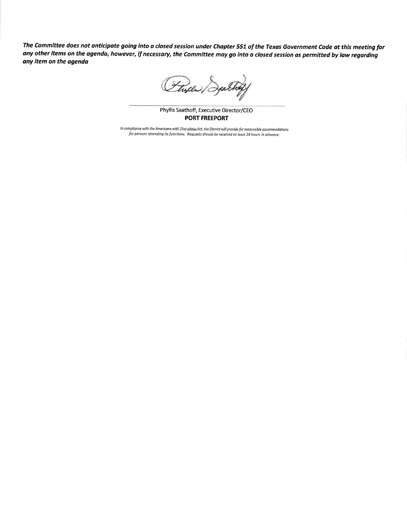The Committee does not anticipate going into a closed session under Chapter 551 of the Texas Government Code at this meeting for any other items on the agenda, however, if necessary, the Committee may go into a closed session as permitted by law regarding any item on the agenda

Flyer/

Phyllis Saathoff, Executive Director/CEO **PORT FREEPORT** 

In compliance with the Americans with Disabilities Act, the District will provide for reasonable accommodations for persons attending its functions. Requests should be received at least 24 hours in advance.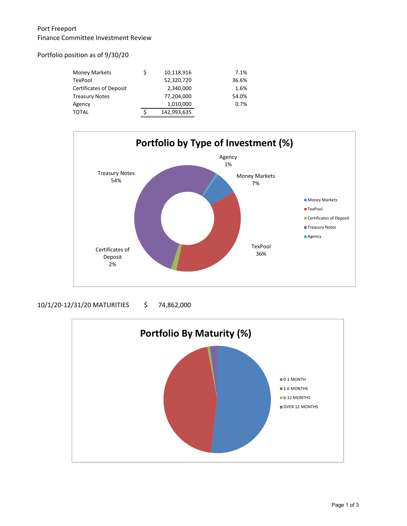## Port Freeport Finance Committee Investment Review

### Portfolio position as of 9/30/20

| <b>Money Markets</b>           | \$<br>10,118,916  | 7.1%  |
|--------------------------------|-------------------|-------|
| TexPool                        | 52,320,720        | 36.6% |
| <b>Certificates of Deposit</b> | 2,340,000         | 1.6%  |
| Treasury Notes                 | 77,204,000        | 54.0% |
| Agency                         | 1,010,000         | 0.7%  |
| TOTAL                          | \$<br>142,993,635 |       |



### 10/1/20-12/31/20 MATURITIES \$ 74,862,000

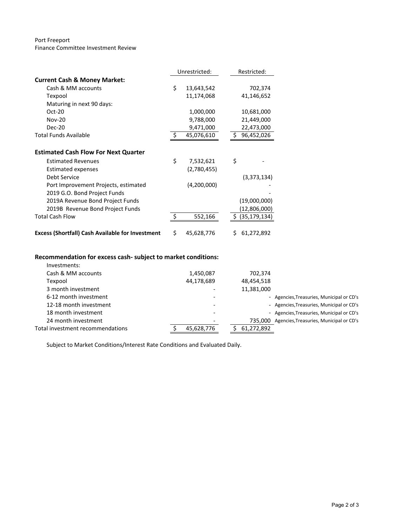#### Port Freeport Finance Committee Investment Review

|                                                         | Unrestricted: |             |    | Restricted:       |  |
|---------------------------------------------------------|---------------|-------------|----|-------------------|--|
| <b>Current Cash &amp; Money Market:</b>                 |               |             |    |                   |  |
| Cash & MM accounts                                      | \$            | 13,643,542  |    | 702,374           |  |
| Texpool                                                 |               | 11,174,068  |    | 41,146,652        |  |
| Maturing in next 90 days:                               |               |             |    |                   |  |
| $Oct-20$                                                |               | 1,000,000   |    | 10,681,000        |  |
| <b>Nov-20</b>                                           |               | 9,788,000   |    | 21,449,000        |  |
| <b>Dec-20</b>                                           |               | 9,471,000   |    | 22,473,000        |  |
| <b>Total Funds Available</b>                            | -Ś            | 45,076,610  | \$ | 96,452,026        |  |
|                                                         |               |             |    |                   |  |
| <b>Estimated Cash Flow For Next Quarter</b>             |               |             |    |                   |  |
| <b>Estimated Revenues</b>                               | \$            | 7,532,621   | \$ |                   |  |
| Estimated expenses                                      |               | (2,780,455) |    |                   |  |
| <b>Debt Service</b>                                     |               |             |    | (3,373,134)       |  |
| Port Improvement Projects, estimated                    |               | (4,200,000) |    |                   |  |
| 2019 G.O. Bond Project Funds                            |               |             |    |                   |  |
| 2019A Revenue Bond Project Funds                        |               |             |    | (19,000,000)      |  |
| 2019B Revenue Bond Project Funds                        |               |             |    | (12,806,000)      |  |
| <b>Total Cash Flow</b>                                  | $\zeta$       | 552,166     |    | \$ (35, 179, 134) |  |
|                                                         |               |             |    |                   |  |
| <b>Excess (Shortfall) Cash Available for Investment</b> | \$            | 45,628,776  | Ś. | 61,272,892        |  |

# **Recommendation for excess cash‐ subject to market conditions:**

| Investments:                     |            |            |                                                 |
|----------------------------------|------------|------------|-------------------------------------------------|
| Cash & MM accounts               | 1,450,087  | 702,374    |                                                 |
| Texpool                          | 44,178,689 | 48,454,518 |                                                 |
| 3 month investment               |            | 11,381,000 |                                                 |
| 6-12 month investment            |            |            | - Agencies, Treasuries, Municipal or CD's       |
| 12-18 month investment           |            |            | - Agencies, Treasuries, Municipal or CD's       |
| 18 month investment              |            |            | - Agencies, Treasuries, Municipal or CD's       |
| 24 month investment              |            |            | 735.000 Agencies, Treasuries, Municipal or CD's |
| Total investment recommendations | 45,628,776 | 61,272,892 |                                                 |

Subject to Market Conditions/Interest Rate Conditions and Evaluated Daily.